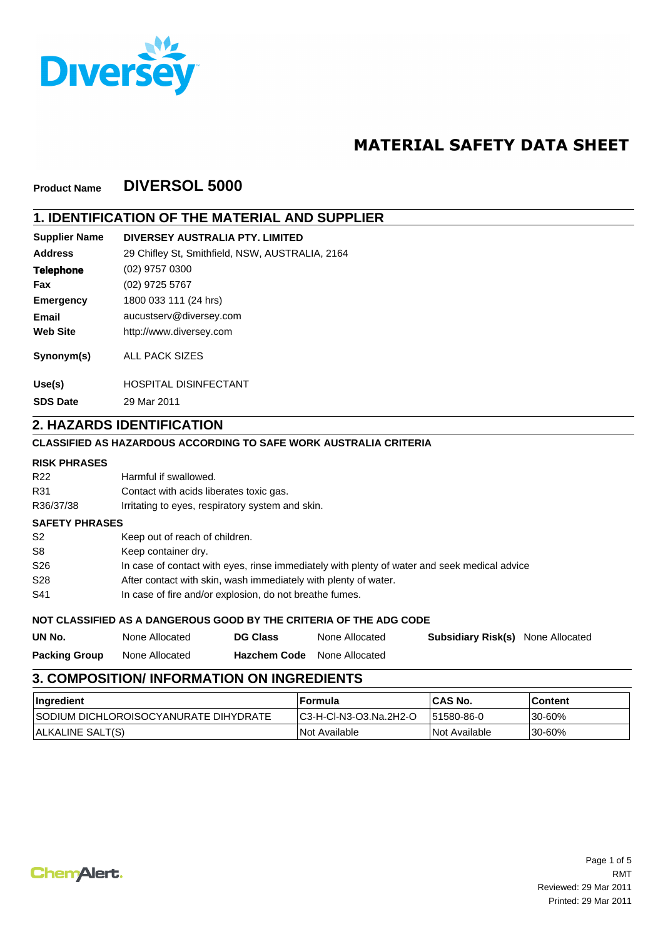

# **MATERIAL SAFETY DATA SHEET**

#### **DIVERSOL 5000 Product Name**

## **1. IDENTIFICATION OF THE MATERIAL AND SUPPLIER**

| <b>Supplier Name</b> | DIVERSEY AUSTRALIA PTY. LIMITED                 |
|----------------------|-------------------------------------------------|
| <b>Address</b>       | 29 Chifley St, Smithfield, NSW, AUSTRALIA, 2164 |
| <b>Telephone</b>     | $(02)$ 9757 0300                                |
| Fax                  | (02) 9725 5767                                  |
| <b>Emergency</b>     | 1800 033 111 (24 hrs)                           |
| Email                | aucustserv@diversey.com                         |
| <b>Web Site</b>      | http://www.diversey.com                         |
| Synonym(s)           | <b>ALL PACK SIZES</b>                           |
| Use(s)               | <b>HOSPITAL DISINFECTANT</b>                    |

29 Mar 2011 **SDS Date**

#### **2. HAZARDS IDENTIFICATION**

#### **CLASSIFIED AS HAZARDOUS ACCORDING TO SAFE WORK AUSTRALIA CRITERIA**

#### **RISK PHRASES**

| UN No.                | None Allocated                                          | <b>DG Class</b>                                                                              | None Allocated                                                     | <b>Subsidiary Risk(s)</b> | None Allocated |  |  |
|-----------------------|---------------------------------------------------------|----------------------------------------------------------------------------------------------|--------------------------------------------------------------------|---------------------------|----------------|--|--|
|                       |                                                         |                                                                                              | NOT CLASSIFIED AS A DANGEROUS GOOD BY THE CRITERIA OF THE ADG CODE |                           |                |  |  |
| S41                   | In case of fire and/or explosion, do not breathe fumes. |                                                                                              |                                                                    |                           |                |  |  |
| S <sub>28</sub>       |                                                         | After contact with skin, wash immediately with plenty of water.                              |                                                                    |                           |                |  |  |
| S <sub>26</sub>       |                                                         | In case of contact with eyes, rinse immediately with plenty of water and seek medical advice |                                                                    |                           |                |  |  |
| S8                    | Keep container dry.                                     |                                                                                              |                                                                    |                           |                |  |  |
| S <sub>2</sub>        | Keep out of reach of children.                          |                                                                                              |                                                                    |                           |                |  |  |
| <b>SAFETY PHRASES</b> |                                                         |                                                                                              |                                                                    |                           |                |  |  |
| R36/37/38             |                                                         | Irritating to eyes, respiratory system and skin.                                             |                                                                    |                           |                |  |  |
| R31                   |                                                         | Contact with acids liberates toxic gas.                                                      |                                                                    |                           |                |  |  |
| R <sub>22</sub>       | Harmful if swallowed.                                   |                                                                                              |                                                                    |                           |                |  |  |

None Allocated **Hazchem Code** None Allocated **Packing Group**

# **3. COMPOSITION/ INFORMATION ON INGREDIENTS**

| <b>Ingredient</b>                             | ⊺Formula                | <b>ICAS No.</b>             | ∣Content |
|-----------------------------------------------|-------------------------|-----------------------------|----------|
| <b>ISODIUM DICHLOROISOCYANURATE DIHYDRATE</b> | IC3-H-CI-N3-O3.Na.2H2-O | 151580-86-0                 | '30-60%  |
| ALKALINE SALT(S)                              | INot Available          | <i><b>Not Available</b></i> | 130-60%  |

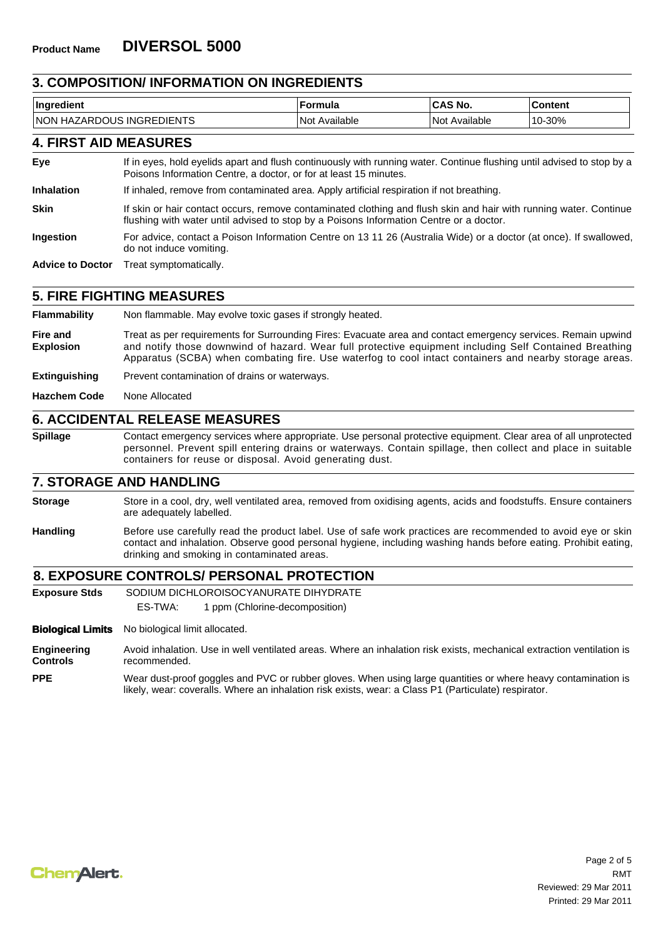#### **3. COMPOSITION/ INFORMATION ON INGREDIENTS**

| . .<br>Ingred<br>dient                                      | ormula                | No.               | <b>Content</b> |
|-------------------------------------------------------------|-----------------------|-------------------|----------------|
| <b>INGREDIENTS</b><br><b>INON</b><br>GDOUS.<br>HAZ.<br>ZAR' | <br>⊦Not<br>Available | Available<br>Not. | -30%<br>່ 10-ປ |

### **4. FIRST AID MEASURES**

| Eye | If in eyes, hold eyelids apart and flush continuously with running water. Continue flushing until advised to stop by a |
|-----|------------------------------------------------------------------------------------------------------------------------|
|     | Poisons Information Centre, a doctor, or for at least 15 minutes.                                                      |

**Inhalation** If inhaled, remove from contaminated area. Apply artificial respiration if not breathing.

**Skin** If skin or hair contact occurs, remove contaminated clothing and flush skin and hair with running water. Continue flushing with water until advised to stop by a Poisons Information Centre or a doctor.

**Ingestion** For advice, contact a Poison Information Centre on 13 11 26 (Australia Wide) or a doctor (at once). If swallowed, do not induce vomiting.

**Advice to Doctor** Treat symptomatically.

#### **5. FIRE FIGHTING MEASURES**

**Flammability** Non flammable. May evolve toxic gases if strongly heated.

**Fire and Explosion** Treat as per requirements for Surrounding Fires: Evacuate area and contact emergency services. Remain upwind and notify those downwind of hazard. Wear full protective equipment including Self Contained Breathing Apparatus (SCBA) when combating fire. Use waterfog to cool intact containers and nearby storage areas.

**Extinguishing** Prevent contamination of drains or waterways.

**Hazchem Code** None Allocated

#### **6. ACCIDENTAL RELEASE MEASURES**

**Spillage** Contact emergency services where appropriate. Use personal protective equipment. Clear area of all unprotected personnel. Prevent spill entering drains or waterways. Contain spillage, then collect and place in suitable containers for reuse or disposal. Avoid generating dust.

### **7. STORAGE AND HANDLING**

Store in a cool, dry, well ventilated area, removed from oxidising agents, acids and foodstuffs. Ensure containers are adequately labelled. **Storage**

**Handling** Before use carefully read the product label. Use of safe work practices are recommended to avoid eye or skin contact and inhalation. Observe good personal hygiene, including washing hands before eating. Prohibit eating, drinking and smoking in contaminated areas.

#### **8. EXPOSURE CONTROLS/ PERSONAL PROTECTION**

**Exposure Stds** SODIUM DICHLOROISOCYANURATE DIHYDRATE

ES-TWA: 1 ppm (Chlorine-decomposition)

**Biological Limits** No biological limit allocated.

**Engineering Controls** Avoid inhalation. Use in well ventilated areas. Where an inhalation risk exists, mechanical extraction ventilation is recommended.

Wear dust-proof goggles and PVC or rubber gloves. When using large quantities or where heavy contamination is likely, wear: coveralls. Where an inhalation risk exists, wear: a Class P1 (Particulate) respirator. **PPE**

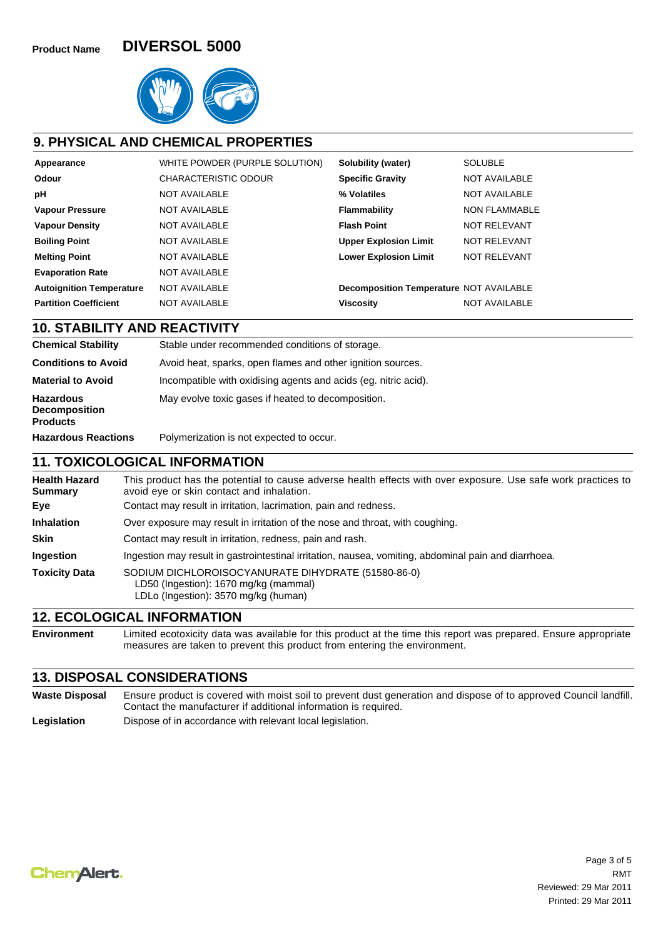

### **9. PHYSICAL AND CHEMICAL PROPERTIES**

| Appearance                      | WHITE POWDER (PURPLE SOLUTION) | Solubility (water)                      | <b>SOLUBLE</b>       |
|---------------------------------|--------------------------------|-----------------------------------------|----------------------|
| Odour                           | <b>CHARACTERISTIC ODOUR</b>    | <b>Specific Gravity</b>                 | NOT AVAILABLE        |
| рH                              | <b>NOT AVAILABLE</b>           | % Volatiles                             | NOT AVAILABLE        |
| <b>Vapour Pressure</b>          | <b>NOT AVAILABLE</b>           | Flammability                            | <b>NON FLAMMABLE</b> |
| <b>Vapour Density</b>           | NOT AVAILABLE                  | <b>Flash Point</b>                      | NOT RELEVANT         |
| <b>Boiling Point</b>            | NOT AVAILABLE                  | <b>Upper Explosion Limit</b>            | NOT RELEVANT         |
| <b>Melting Point</b>            | NOT AVAILABLE                  | <b>Lower Explosion Limit</b>            | NOT RELEVANT         |
| <b>Evaporation Rate</b>         | NOT AVAILABLE                  |                                         |                      |
| <b>Autoignition Temperature</b> | NOT AVAILABLE                  | Decomposition Temperature NOT AVAILABLE |                      |
| <b>Partition Coefficient</b>    | NOT AVAILABLE                  | <b>Viscosity</b>                        | <b>NOT AVAILABLE</b> |

**10. STABILITY AND REACTIVITY**

| <b>Chemical Stability</b>                                   | Stable under recommended conditions of storage.                 |  |  |  |
|-------------------------------------------------------------|-----------------------------------------------------------------|--|--|--|
| <b>Conditions to Avoid</b>                                  | Avoid heat, sparks, open flames and other ignition sources.     |  |  |  |
| <b>Material to Avoid</b>                                    | Incompatible with oxidising agents and acids (eg. nitric acid). |  |  |  |
| <b>Hazardous</b><br><b>Decomposition</b><br><b>Products</b> | May evolve toxic gases if heated to decomposition.              |  |  |  |
| <b>Hazardous Reactions</b>                                  | Polymerization is not expected to occur.                        |  |  |  |
|                                                             |                                                                 |  |  |  |

#### **11. TOXICOLOGICAL INFORMATION**

| <b>Health Hazard</b><br><b>Summary</b> | This product has the potential to cause adverse health effects with over exposure. Use safe work practices to<br>avoid eye or skin contact and inhalation. |
|----------------------------------------|------------------------------------------------------------------------------------------------------------------------------------------------------------|
| Eye                                    | Contact may result in irritation, lacrimation, pain and redness.                                                                                           |
| <b>Inhalation</b>                      | Over exposure may result in irritation of the nose and throat, with coughing.                                                                              |
| <b>Skin</b>                            | Contact may result in irritation, redness, pain and rash.                                                                                                  |
| <b>Ingestion</b>                       | Ingestion may result in gastrointestinal irritation, nausea, vomiting, abdominal pain and diarrhoea.                                                       |
| <b>Toxicity Data</b>                   | SODIUM DICHLOROISOCYANURATE DIHYDRATE (51580-86-0)<br>LD50 (Ingestion): 1670 mg/kg (mammal)<br>LDLo (Ingestion): 3570 mg/kg (human)                        |

### **12. ECOLOGICAL INFORMATION**

**Environment** Limited ecotoxicity data was available for this product at the time this report was prepared. Ensure appropriate measures are taken to prevent this product from entering the environment.

#### **13. DISPOSAL CONSIDERATIONS**

**Waste Disposal** Ensure product is covered with moist soil to prevent dust generation and dispose of to approved Council landfill. Contact the manufacturer if additional information is required. Legislation **Dispose of in accordance with relevant local legislation.** 

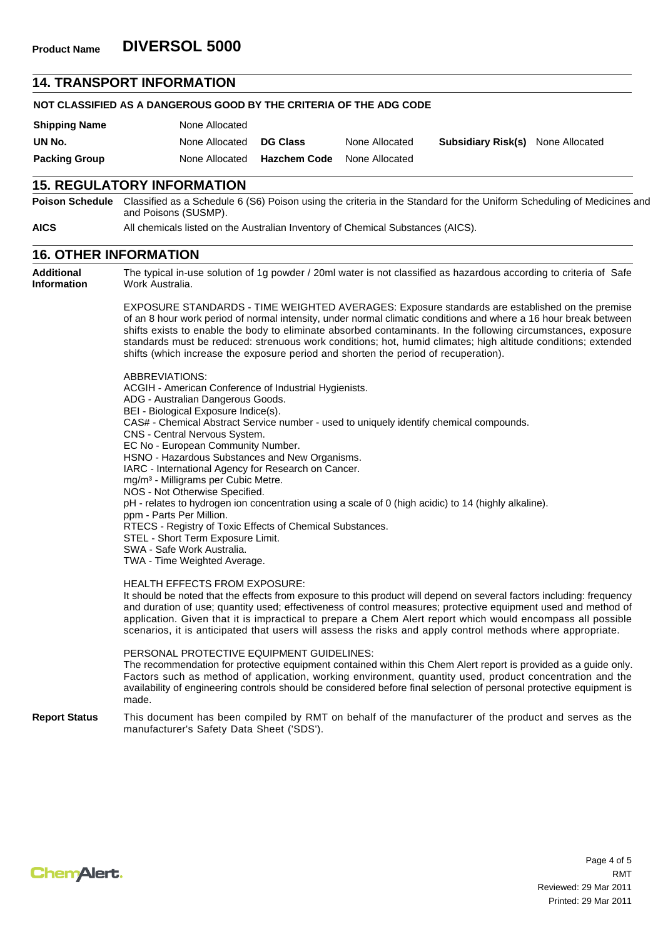#### **14. TRANSPORT INFORMATION**

| NOT CLASSIFIED AS A DANGEROUS GOOD BY THE CRITERIA OF THE ADG CODE |                |                 |                |                                          |  |  |  |
|--------------------------------------------------------------------|----------------|-----------------|----------------|------------------------------------------|--|--|--|
| <b>Shipping Name</b>                                               | None Allocated |                 |                |                                          |  |  |  |
| UN No.                                                             | None Allocated | <b>DG Class</b> | None Allocated | <b>Subsidiary Risk(s)</b> None Allocated |  |  |  |
| <b>Packing Group</b>                                               | None Allocated | Hazchem Code    | None Allocated |                                          |  |  |  |

### **15. REGULATORY INFORMATION**

**Poison Schedule** Classified as a Schedule 6 (S6) Poison using the criteria in the Standard for the Uniform Scheduling of Medicines and and Poisons (SUSMP).

**AICS** All chemicals listed on the Australian Inventory of Chemical Substances (AICS).

### **16. OTHER INFORMATION**

**Additional Information** The typical in-use solution of 1g powder / 20ml water is not classified as hazardous according to criteria of Safe Work Australia.

> EXPOSURE STANDARDS - TIME WEIGHTED AVERAGES: Exposure standards are established on the premise of an 8 hour work period of normal intensity, under normal climatic conditions and where a 16 hour break between shifts exists to enable the body to eliminate absorbed contaminants. In the following circumstances, exposure standards must be reduced: strenuous work conditions; hot, humid climates; high altitude conditions; extended shifts (which increase the exposure period and shorten the period of recuperation).

#### ABBREVIATIONS:

ACGIH - American Conference of Industrial Hygienists. ADG - Australian Dangerous Goods. BEI - Biological Exposure Indice(s). CAS# - Chemical Abstract Service number - used to uniquely identify chemical compounds. CNS - Central Nervous System. EC No - European Community Number. HSNO - Hazardous Substances and New Organisms. IARC - International Agency for Research on Cancer. mg/m<sup>3</sup> - Milligrams per Cubic Metre. NOS - Not Otherwise Specified. pH - relates to hydrogen ion concentration using a scale of 0 (high acidic) to 14 (highly alkaline). ppm - Parts Per Million. RTECS - Registry of Toxic Effects of Chemical Substances. STEL - Short Term Exposure Limit. SWA - Safe Work Australia. TWA - Time Weighted Average. HEALTH EFFECTS FROM EXPOSURE:

It should be noted that the effects from exposure to this product will depend on several factors including: frequency and duration of use; quantity used; effectiveness of control measures; protective equipment used and method of application. Given that it is impractical to prepare a Chem Alert report which would encompass all possible scenarios, it is anticipated that users will assess the risks and apply control methods where appropriate.

#### PERSONAL PROTECTIVE EQUIPMENT GUIDELINES:

The recommendation for protective equipment contained within this Chem Alert report is provided as a guide only. Factors such as method of application, working environment, quantity used, product concentration and the availability of engineering controls should be considered before final selection of personal protective equipment is made.

#### **Report Status** This document has been compiled by RMT on behalf of the manufacturer of the product and serves as the manufacturer's Safety Data Sheet ('SDS').